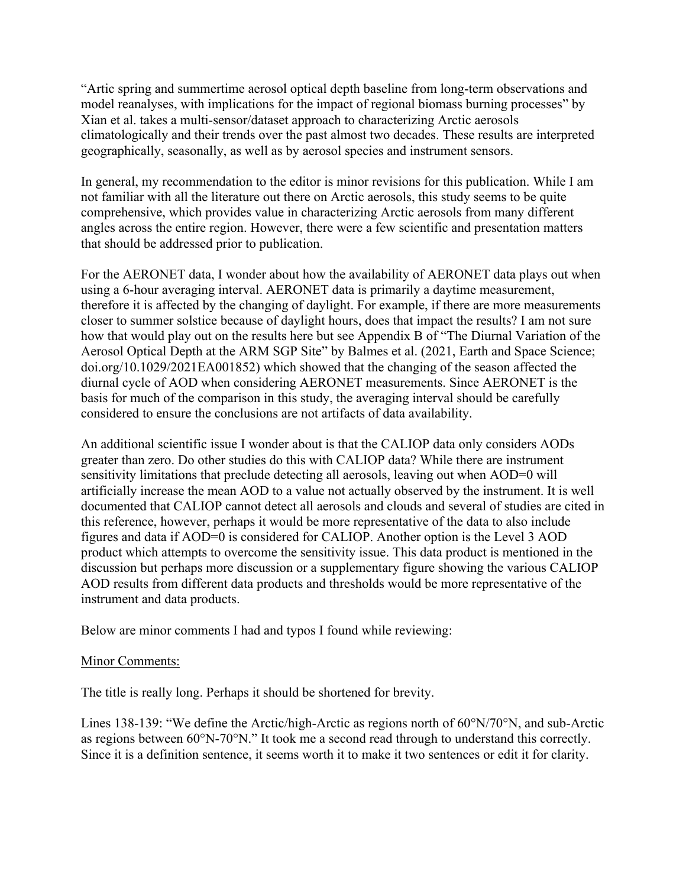"Artic spring and summertime aerosol optical depth baseline from long-term observations and model reanalyses, with implications for the impact of regional biomass burning processes" by Xian et al. takes a multi-sensor/dataset approach to characterizing Arctic aerosols climatologically and their trends over the past almost two decades. These results are interpreted geographically, seasonally, as well as by aerosol species and instrument sensors.

In general, my recommendation to the editor is minor revisions for this publication. While I am not familiar with all the literature out there on Arctic aerosols, this study seems to be quite comprehensive, which provides value in characterizing Arctic aerosols from many different angles across the entire region. However, there were a few scientific and presentation matters that should be addressed prior to publication.

For the AERONET data, I wonder about how the availability of AERONET data plays out when using a 6-hour averaging interval. AERONET data is primarily a daytime measurement, therefore it is affected by the changing of daylight. For example, if there are more measurements closer to summer solstice because of daylight hours, does that impact the results? I am not sure how that would play out on the results here but see Appendix B of "The Diurnal Variation of the Aerosol Optical Depth at the ARM SGP Site" by Balmes et al. (2021, Earth and Space Science; doi.org/10.1029/2021EA001852) which showed that the changing of the season affected the diurnal cycle of AOD when considering AERONET measurements. Since AERONET is the basis for much of the comparison in this study, the averaging interval should be carefully considered to ensure the conclusions are not artifacts of data availability.

An additional scientific issue I wonder about is that the CALIOP data only considers AODs greater than zero. Do other studies do this with CALIOP data? While there are instrument sensitivity limitations that preclude detecting all aerosols, leaving out when AOD=0 will artificially increase the mean AOD to a value not actually observed by the instrument. It is well documented that CALIOP cannot detect all aerosols and clouds and several of studies are cited in this reference, however, perhaps it would be more representative of the data to also include figures and data if AOD=0 is considered for CALIOP. Another option is the Level 3 AOD product which attempts to overcome the sensitivity issue. This data product is mentioned in the discussion but perhaps more discussion or a supplementary figure showing the various CALIOP AOD results from different data products and thresholds would be more representative of the instrument and data products.

Below are minor comments I had and typos I found while reviewing:

## Minor Comments:

The title is really long. Perhaps it should be shortened for brevity.

Lines 138-139: "We define the Arctic/high-Arctic as regions north of 60°N/70°N, and sub-Arctic as regions between 60°N-70°N." It took me a second read through to understand this correctly. Since it is a definition sentence, it seems worth it to make it two sentences or edit it for clarity.